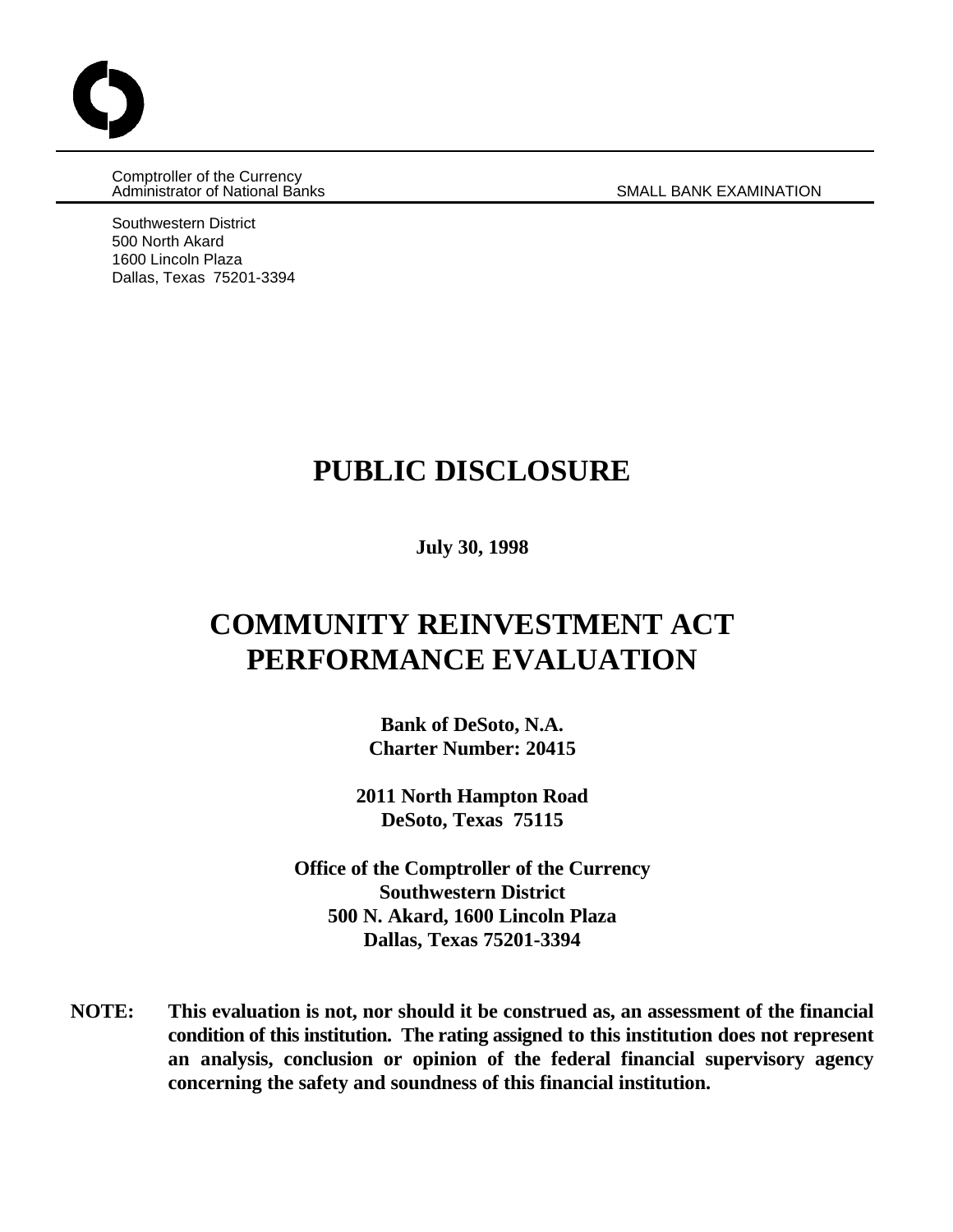Comptroller of the Currency Administrator of National Banks SMALL BANK EXAMINATION

Southwestern District 500 North Akard 1600 Lincoln Plaza Dallas, Texas 75201-3394

# **PUBLIC DISCLOSURE**

**July 30, 1998**

# **COMMUNITY REINVESTMENT ACT PERFORMANCE EVALUATION**

**Bank of DeSoto, N.A. Charter Number: 20415**

**2011 North Hampton Road DeSoto, Texas 75115**

**Office of the Comptroller of the Currency Southwestern District 500 N. Akard, 1600 Lincoln Plaza Dallas, Texas 75201-3394**

**NOTE: This evaluation is not, nor should it be construed as, an assessment of the financial condition of this institution. The rating assigned to this institution does not represent an analysis, conclusion or opinion of the federal financial supervisory agency concerning the safety and soundness of this financial institution.**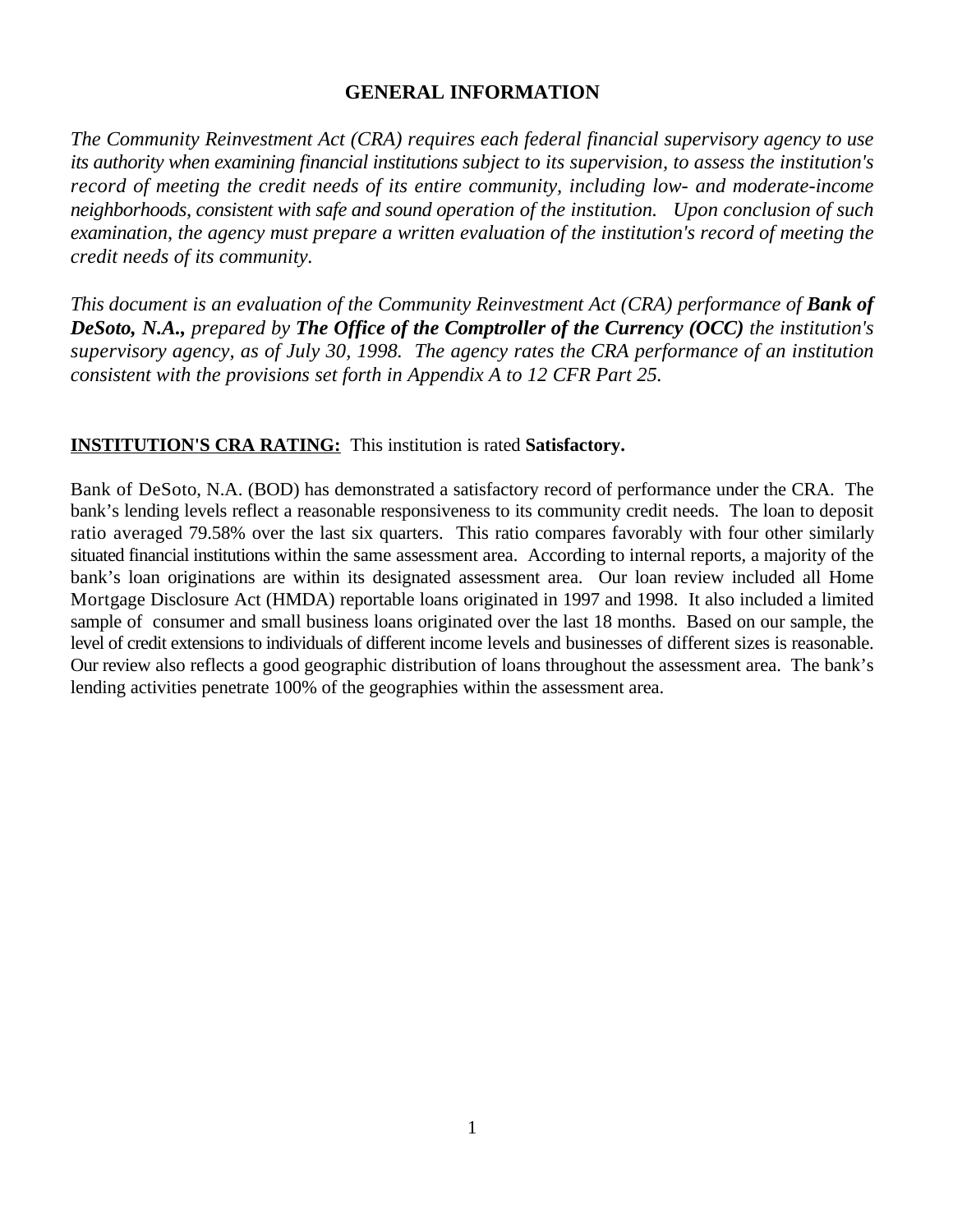## **GENERAL INFORMATION**

*The Community Reinvestment Act (CRA) requires each federal financial supervisory agency to use its authority when examining financial institutions subject to its supervision, to assess the institution's record of meeting the credit needs of its entire community, including low- and moderate-income neighborhoods, consistent with safe and sound operation of the institution. Upon conclusion of such examination, the agency must prepare a written evaluation of the institution's record of meeting the credit needs of its community.* 

*This document is an evaluation of the Community Reinvestment Act (CRA) performance of Bank of DeSoto, N.A., prepared by The Office of the Comptroller of the Currency (OCC) the institution's supervisory agency, as of July 30, 1998. The agency rates the CRA performance of an institution consistent with the provisions set forth in Appendix A to 12 CFR Part 25.*

## **INSTITUTION'S CRA RATING:** This institution is rated **Satisfactory.**

Bank of DeSoto, N.A. (BOD) has demonstrated a satisfactory record of performance under the CRA. The bank's lending levels reflect a reasonable responsiveness to its community credit needs. The loan to deposit ratio averaged 79.58% over the last six quarters. This ratio compares favorably with four other similarly situated financial institutions within the same assessment area. According to internal reports, a majority of the bank's loan originations are within its designated assessment area. Our loan review included all Home Mortgage Disclosure Act (HMDA) reportable loans originated in 1997 and 1998. It also included a limited sample of consumer and small business loans originated over the last 18 months. Based on our sample, the level of credit extensions to individuals of different income levels and businesses of different sizes is reasonable. Our review also reflects a good geographic distribution of loans throughout the assessment area. The bank's lending activities penetrate 100% of the geographies within the assessment area.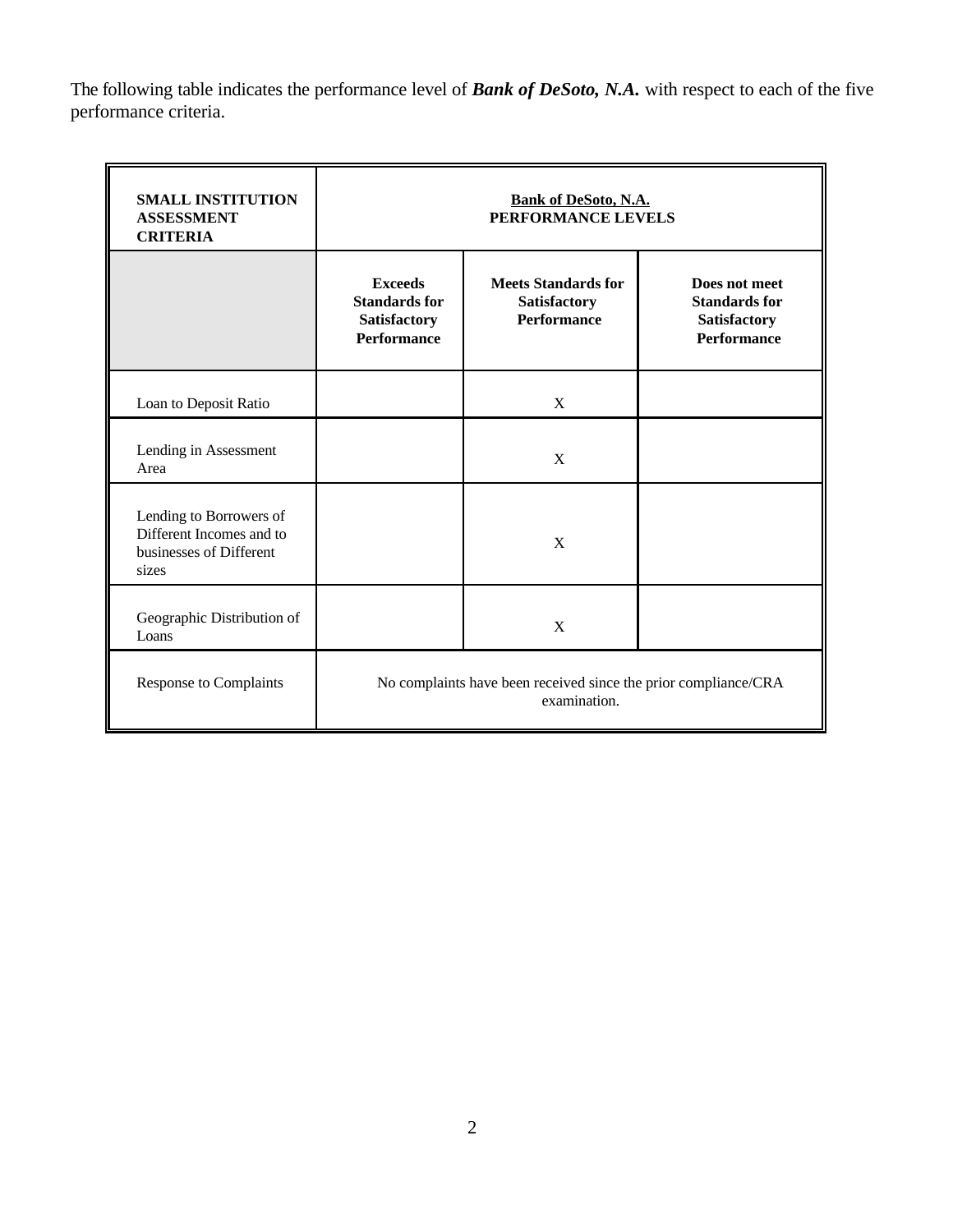The following table indicates the performance level of *Bank of DeSoto, N.A.* with respect to each of the five performance criteria.

| <b>SMALL INSTITUTION</b><br><b>ASSESSMENT</b><br><b>CRITERIA</b>                        | <b>Bank of DeSoto, N.A.</b><br>PERFORMANCE LEVELS                               |                                                                  |                                                                                    |  |  |  |  |  |  |
|-----------------------------------------------------------------------------------------|---------------------------------------------------------------------------------|------------------------------------------------------------------|------------------------------------------------------------------------------------|--|--|--|--|--|--|
|                                                                                         | <b>Exceeds</b><br><b>Standards for</b><br>Satisfactory<br><b>Performance</b>    | <b>Meets Standards for</b><br>Satisfactory<br><b>Performance</b> | Does not meet<br><b>Standards for</b><br><b>Satisfactory</b><br><b>Performance</b> |  |  |  |  |  |  |
| Loan to Deposit Ratio                                                                   |                                                                                 | X                                                                |                                                                                    |  |  |  |  |  |  |
| Lending in Assessment<br>Area                                                           |                                                                                 | X                                                                |                                                                                    |  |  |  |  |  |  |
| Lending to Borrowers of<br>Different Incomes and to<br>businesses of Different<br>sizes |                                                                                 | X                                                                |                                                                                    |  |  |  |  |  |  |
| Geographic Distribution of<br>Loans                                                     |                                                                                 | X                                                                |                                                                                    |  |  |  |  |  |  |
| <b>Response to Complaints</b>                                                           | No complaints have been received since the prior compliance/CRA<br>examination. |                                                                  |                                                                                    |  |  |  |  |  |  |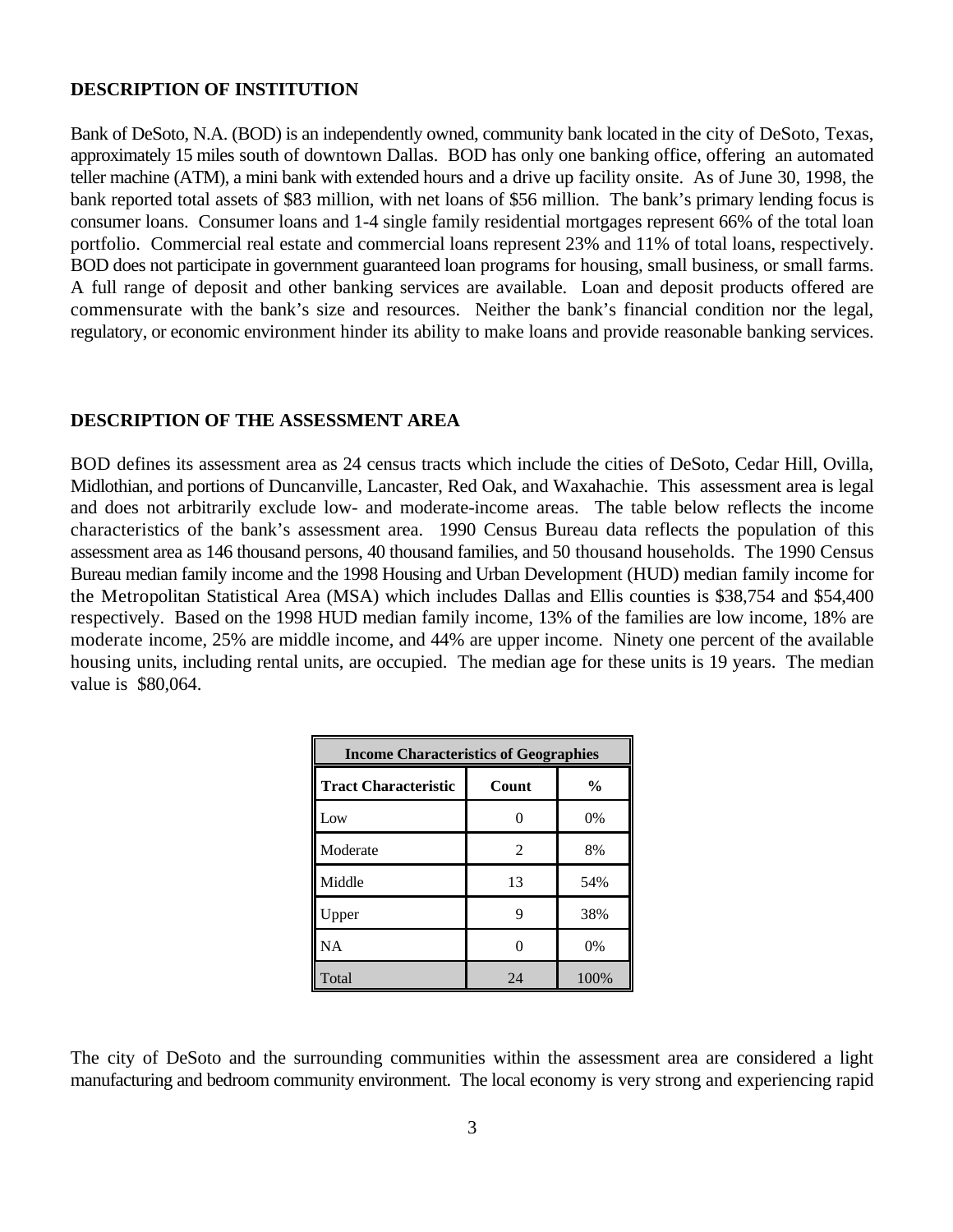#### **DESCRIPTION OF INSTITUTION**

Bank of DeSoto, N.A. (BOD) is an independently owned, community bank located in the city of DeSoto, Texas, approximately 15 miles south of downtown Dallas. BOD has only one banking office, offering an automated teller machine (ATM), a mini bank with extended hours and a drive up facility onsite. As of June 30, 1998, the bank reported total assets of \$83 million, with net loans of \$56 million. The bank's primary lending focus is consumer loans. Consumer loans and 1-4 single family residential mortgages represent 66% of the total loan portfolio. Commercial real estate and commercial loans represent 23% and 11% of total loans, respectively. BOD does not participate in government guaranteed loan programs for housing, small business, or small farms. A full range of deposit and other banking services are available. Loan and deposit products offered are commensurate with the bank's size and resources. Neither the bank's financial condition nor the legal, regulatory, or economic environment hinder its ability to make loans and provide reasonable banking services.

#### **DESCRIPTION OF THE ASSESSMENT AREA**

BOD defines its assessment area as 24 census tracts which include the cities of DeSoto, Cedar Hill, Ovilla, Midlothian, and portions of Duncanville, Lancaster, Red Oak, and Waxahachie. This assessment area is legal and does not arbitrarily exclude low- and moderate-income areas. The table below reflects the income characteristics of the bank's assessment area. 1990 Census Bureau data reflects the population of this assessment area as 146 thousand persons, 40 thousand families, and 50 thousand households. The 1990 Census Bureau median family income and the 1998 Housing and Urban Development (HUD) median family income for the Metropolitan Statistical Area (MSA) which includes Dallas and Ellis counties is \$38,754 and \$54,400 respectively. Based on the 1998 HUD median family income, 13% of the families are low income, 18% are moderate income, 25% are middle income, and 44% are upper income. Ninety one percent of the available housing units, including rental units, are occupied. The median age for these units is 19 years. The median value is \$80,064.

| <b>Income Characteristics of Geographies</b> |                |               |  |  |  |  |  |  |
|----------------------------------------------|----------------|---------------|--|--|--|--|--|--|
| <b>Tract Characteristic</b>                  | Count          | $\frac{0}{0}$ |  |  |  |  |  |  |
| Low                                          |                | 0%            |  |  |  |  |  |  |
| Moderate                                     | $\mathfrak{D}$ | 8%            |  |  |  |  |  |  |
| Middle                                       | 13             | 54%           |  |  |  |  |  |  |
| Upper                                        | 9              | 38%           |  |  |  |  |  |  |
| <b>NA</b>                                    |                | 0%            |  |  |  |  |  |  |
| Total                                        | 24             | 100%          |  |  |  |  |  |  |

The city of DeSoto and the surrounding communities within the assessment area are considered a light manufacturing and bedroom community environment. The local economy is very strong and experiencing rapid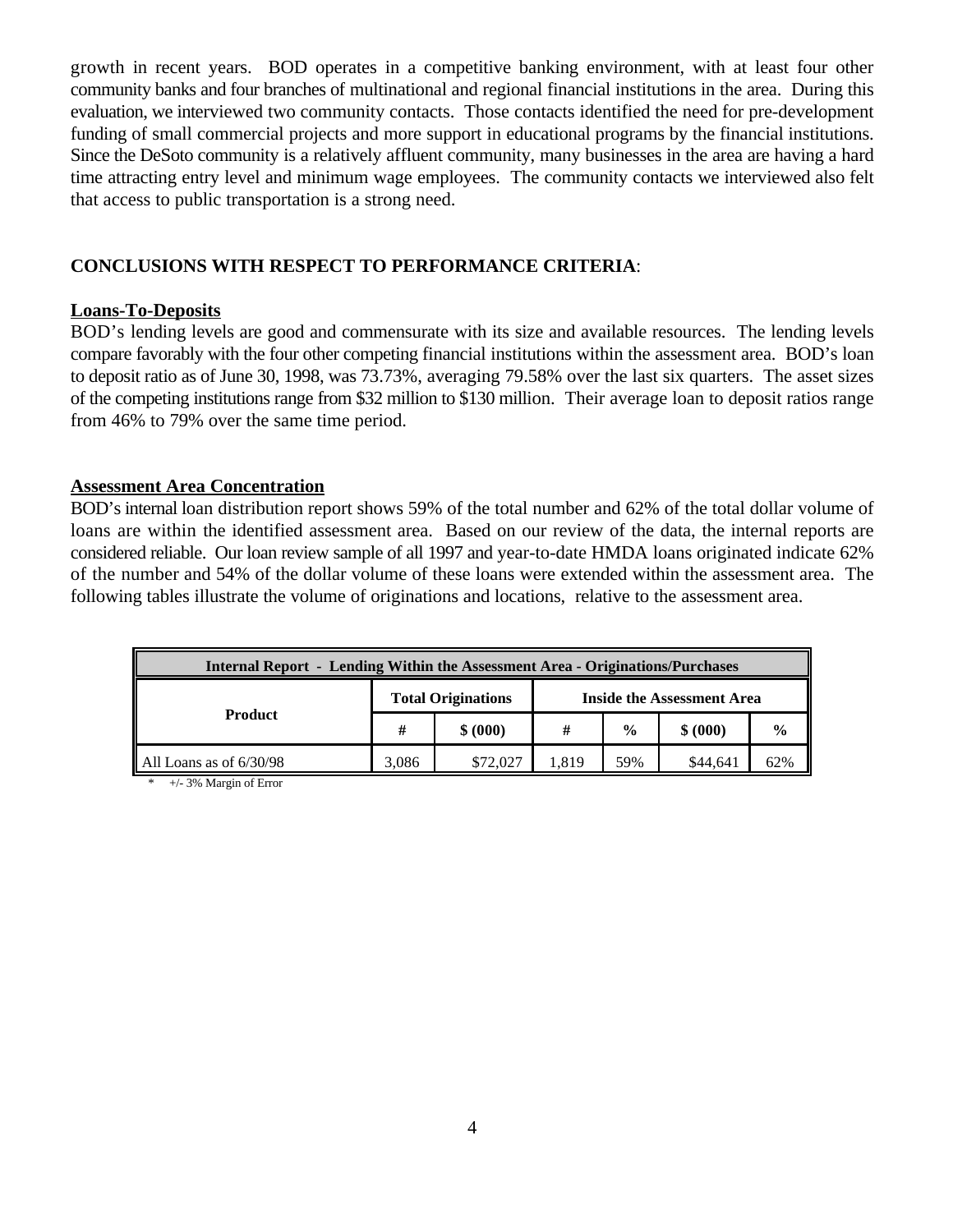growth in recent years. BOD operates in a competitive banking environment, with at least four other community banks and four branches of multinational and regional financial institutions in the area. During this evaluation, we interviewed two community contacts. Those contacts identified the need for pre-development funding of small commercial projects and more support in educational programs by the financial institutions. Since the DeSoto community is a relatively affluent community, many businesses in the area are having a hard time attracting entry level and minimum wage employees. The community contacts we interviewed also felt that access to public transportation is a strong need.

## **CONCLUSIONS WITH RESPECT TO PERFORMANCE CRITERIA**:

### **Loans-To-Deposits**

BOD's lending levels are good and commensurate with its size and available resources. The lending levels compare favorably with the four other competing financial institutions within the assessment area. BOD's loan to deposit ratio as of June 30, 1998, was 73.73%, averaging 79.58% over the last six quarters. The asset sizes of the competing institutions range from \$32 million to \$130 million. Their average loan to deposit ratios range from 46% to 79% over the same time period.

#### **Assessment Area Concentration**

BOD's internal loan distribution report shows 59% of the total number and 62% of the total dollar volume of loans are within the identified assessment area. Based on our review of the data, the internal reports are considered reliable. Our loan review sample of all 1997 and year-to-date HMDA loans originated indicate 62% of the number and 54% of the dollar volume of these loans were extended within the assessment area. The following tables illustrate the volume of originations and locations, relative to the assessment area.

| <b>Internal Report - Lending Within the Assessment Area - Originations/Purchases</b> |       |                           |                            |               |          |               |  |  |  |
|--------------------------------------------------------------------------------------|-------|---------------------------|----------------------------|---------------|----------|---------------|--|--|--|
|                                                                                      |       | <b>Total Originations</b> | Inside the Assessment Area |               |          |               |  |  |  |
| <b>Product</b>                                                                       | #     | \$ (000)                  | #                          | $\frac{0}{0}$ | \$ (000) | $\frac{0}{0}$ |  |  |  |
| All Loans as of 6/30/98                                                              | 3.086 | \$72,027                  | l.819                      | 59%           | \$44,641 | 62%           |  |  |  |

\* +/- 3% Margin of Error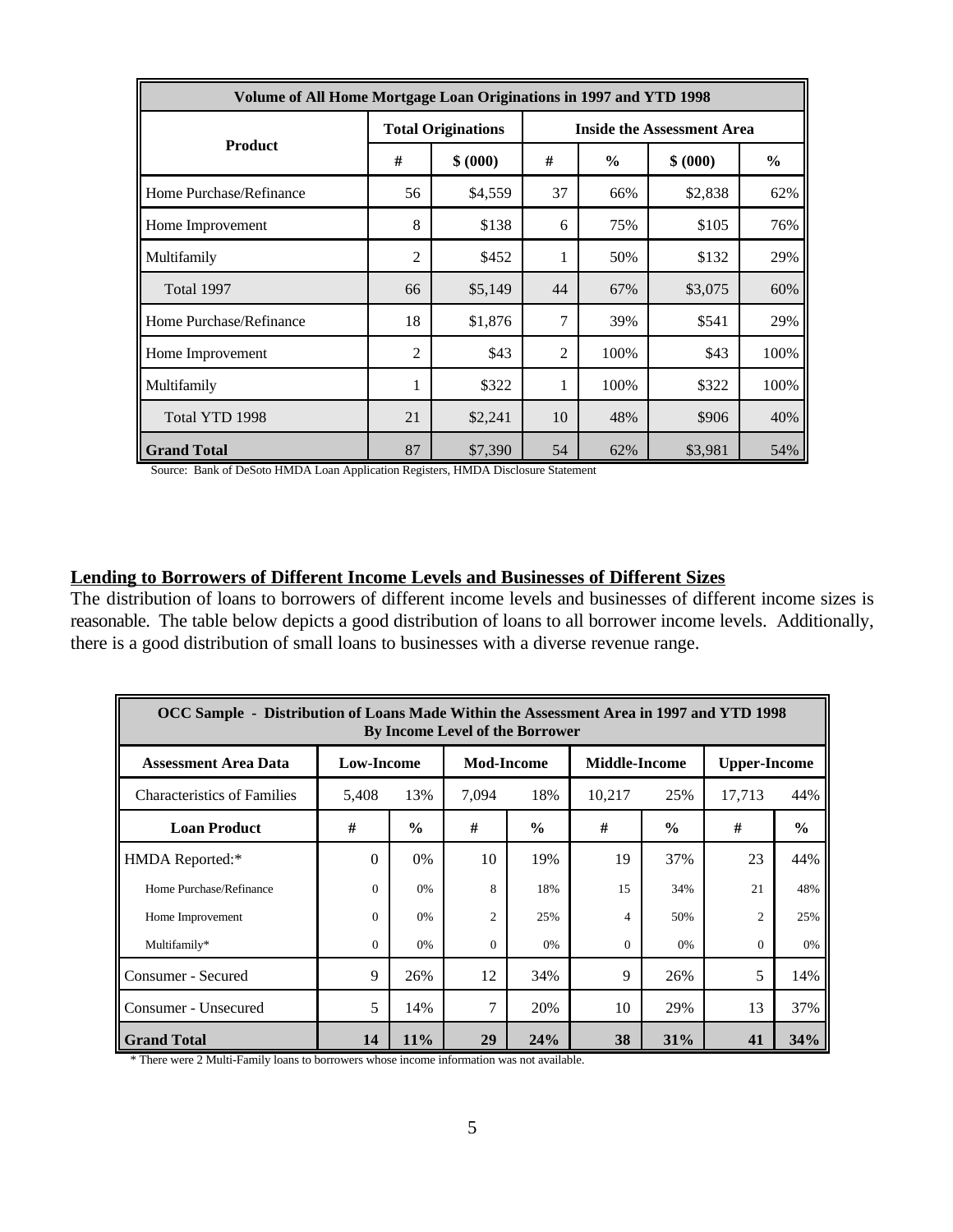| Volume of All Home Mortgage Loan Originations in 1997 and YTD 1998 |                |                           |                                   |               |          |               |  |  |  |  |
|--------------------------------------------------------------------|----------------|---------------------------|-----------------------------------|---------------|----------|---------------|--|--|--|--|
| <b>Product</b>                                                     |                | <b>Total Originations</b> | <b>Inside the Assessment Area</b> |               |          |               |  |  |  |  |
|                                                                    | #              | \$ (000)                  | #                                 | $\frac{6}{6}$ | \$ (000) | $\frac{6}{6}$ |  |  |  |  |
| Home Purchase/Refinance                                            | 56             | \$4,559                   | 37                                | 66%           | \$2,838  | 62%           |  |  |  |  |
| Home Improvement                                                   | 8              | \$138                     | 6                                 | 75%           | \$105    | 76%           |  |  |  |  |
| Multifamily                                                        | $\overline{2}$ | \$452                     | 1                                 | 50%           | \$132    | 29%           |  |  |  |  |
| Total 1997                                                         | 66             | \$5,149                   | 44                                | 67%           | \$3,075  | 60%           |  |  |  |  |
| Home Purchase/Refinance                                            | 18             | \$1,876                   | 7                                 | 39%           | \$541    | 29%           |  |  |  |  |
| Home Improvement                                                   | $\mathfrak{2}$ | \$43                      | $\overline{2}$                    | 100%          | \$43     | 100%          |  |  |  |  |
| Multifamily                                                        | 1              | \$322                     | 1                                 | 100%          | \$322    | 100%          |  |  |  |  |
| Total YTD 1998                                                     | 21             | \$2,241                   | 10                                | 48%           | \$906    | 40%           |  |  |  |  |
| <b>Grand Total</b>                                                 | 87             | \$7,390                   | 54<br>\$3,981<br>54%<br>62%       |               |          |               |  |  |  |  |

Source: Bank of DeSoto HMDA Loan Application Registers, HMDA Disclosure Statement

## **Lending to Borrowers of Different Income Levels and Businesses of Different Sizes**

The distribution of loans to borrowers of different income levels and businesses of different income sizes is reasonable. The table below depicts a good distribution of loans to all borrower income levels. Additionally, there is a good distribution of small loans to businesses with a diverse revenue range.

| OCC Sample - Distribution of Loans Made Within the Assessment Area in 1997 and YTD 1998<br>By Income Level of the Borrower |                   |               |                   |               |                      |               |                     |               |  |  |
|----------------------------------------------------------------------------------------------------------------------------|-------------------|---------------|-------------------|---------------|----------------------|---------------|---------------------|---------------|--|--|
| <b>Assessment Area Data</b>                                                                                                | <b>Low-Income</b> |               | <b>Mod-Income</b> |               | <b>Middle-Income</b> |               | <b>Upper-Income</b> |               |  |  |
| <b>Characteristics of Families</b>                                                                                         | 5.408             | 13%           | 7.094             | 18%           | 10,217<br>25%        |               | 17,713              | 44%           |  |  |
| <b>Loan Product</b>                                                                                                        | #                 | $\frac{0}{0}$ | #                 | $\frac{6}{6}$ | #                    | $\frac{0}{0}$ | #                   | $\frac{6}{6}$ |  |  |
| HMDA Reported:*                                                                                                            | 0                 | $0\%$         | 10                | 19%           | 19                   | 37%           | 23                  | 44%           |  |  |
| Home Purchase/Refinance                                                                                                    | $\Omega$          | 0%            | $\mathbf{8}$      | 18%           | 15                   | 34%           | 21                  | 48%           |  |  |
| Home Improvement                                                                                                           | $\Omega$          | 0%            | $\overline{c}$    | 25%           | 4                    | 50%           | $\overline{c}$      | 25%           |  |  |
| Multifamily*                                                                                                               | $\Omega$          | 0%            | $\Omega$          | 0%            | $\Omega$             | 0%            | $\Omega$            | 0%            |  |  |
| Consumer - Secured                                                                                                         | 9                 | 26%           | 12                | 34%           | 9                    | 26%           | 5                   | 14%           |  |  |
| Consumer - Unsecured                                                                                                       | 5                 | 14%           | 7                 | 20%           | 10                   | 29%           | 13                  | 37%           |  |  |
| <b>Grand Total</b>                                                                                                         | 14                | 11%           | 29                | 24%           | 38                   | 31%           | 41                  | 34%           |  |  |

\* There were 2 Multi-Family loans to borrowers whose income information was not available.